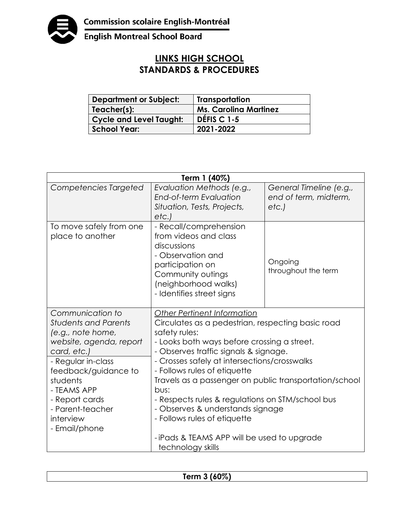

**English Montreal School Board** 

## **LINKS HIGH SCHOOL STANDARDS & PROCEDURES**

| <b>Department or Subject:</b>  | Transportation               |
|--------------------------------|------------------------------|
| Teacher(s):                    | <b>Ms. Carolina Martinez</b> |
| <b>Cycle and Level Taught:</b> | DÉFIS C 1-5                  |
| <b>School Year:</b>            | 2021-2022                    |

| Term 1 (40%)                                                                                                                                                                                                                                                |                                                                                                                                                                                                                                                                                                                                                                                                                                                                                                                          |                                                          |  |  |
|-------------------------------------------------------------------------------------------------------------------------------------------------------------------------------------------------------------------------------------------------------------|--------------------------------------------------------------------------------------------------------------------------------------------------------------------------------------------------------------------------------------------------------------------------------------------------------------------------------------------------------------------------------------------------------------------------------------------------------------------------------------------------------------------------|----------------------------------------------------------|--|--|
| Competencies Targeted                                                                                                                                                                                                                                       | Evaluation Methods (e.g.,<br>End-of-term Evaluation<br>Situation, Tests, Projects,<br>etc.)                                                                                                                                                                                                                                                                                                                                                                                                                              | General Timeline (e.g.,<br>end of term, midterm,<br>etc. |  |  |
| To move safely from one<br>place to another                                                                                                                                                                                                                 | - Recall/comprehension<br>from videos and class<br>discussions<br>- Observation and<br>participation on<br>Community outings<br>(neighborhood walks)<br>- Identifies street signs                                                                                                                                                                                                                                                                                                                                        | Ongoing<br>throughout the term                           |  |  |
| Communication to<br><b>Students and Parents</b><br>(e.g., note home,<br>website, agenda, report<br>card, etc.)<br>- Regular in-class<br>feedback/guidance to<br>students<br>- TEAMS APP<br>- Report cards<br>- Parent-teacher<br>interview<br>- Email/phone | <b>Other Pertinent Information</b><br>Circulates as a pedestrian, respecting basic road<br>safety rules:<br>- Looks both ways before crossing a street.<br>- Observes traffic signals & signage.<br>- Crosses safely at intersections/crosswalks<br>- Follows rules of etiquette<br>Travels as a passenger on public transportation/school<br>bus:<br>- Respects rules & regulations on STM/school bus<br>- Observes & understands signage<br>- Follows rules of etiquette<br>-iPads & TEAMS APP will be used to upgrade |                                                          |  |  |

| erm 3 (60%) |
|-------------|
|-------------|